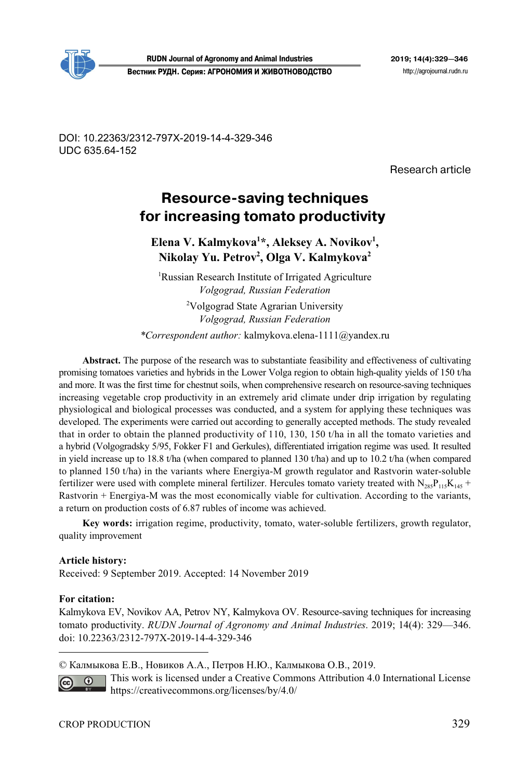

DOI: 10.22363/2312-797X-2019-14-4-329-346 UDC 635.64-152

Research article

# **Resource-saving techniques** for increasing tomato productivity

Elena V. Kalmykova<sup>1\*</sup>, Aleksey A. Novikov<sup>1</sup>, **Nikolay Yu. Petrov2 , Olga V. Kalmykova2**

<sup>1</sup>Russian Research Institute of Irrigated Agriculture *Volgograd, Russian Federation* 

<sup>2</sup>Volgograd State Agrarian University *Volgograd, Russian Federation \*Сorrespondent author:* kalmykova.elena-1111@yandex.ru

**Abstract.** The purpose of the research was to substantiate feasibility and effectiveness of cultivating promising tomatoes varieties and hybrids in the Lower Volga region to obtain high-quality yields of 150 t/ha and more. It was the first time for chestnut soils, when comprehensive research on resource-saving techniques increasing vegetable crop productivity in an extremely arid climate under drip irrigation by regulating physiological and biological processes was conducted, and a system for applying these techniques was developed. The experiments were carried out according to generally accepted methods. The study revealed that in order to obtain the planned productivity of 110, 130, 150 t/ha in all the tomato varieties and a hybrid (Volgogradsky 5/95, Fokker F1 and Gerkules), differentiated irrigation regime was used. It resulted in yield increase up to 18.8 t/ha (when compared to planned 130 t/ha) and up to 10.2 t/ha (when compared to planned 150 t/ha) in the variants where Energiya-M growth regulator and Rastvorin water-soluble fertilizer were used with complete mineral fertilizer. Hercules tomato variety treated with  $N_{285}P_{115}K_{145}$  + Rastvorin + Energiya-M was the most economically viable for cultivation. According to the variants, a return on production costs of 6.87 rubles of income was achieved.

**Key words:** irrigation regime, productivity, tomato, water-soluble fertilizers, growth regulator, quality improvement

# **Article history:**

Received: 9 September 2019. Accepted: 14 November 2019

#### **For citation:**

 $\overline{a}$ 

Kalmykova EV, Novikov AA, Petrov NY, Kalmykova OV. Resource-saving techniques for increasing tomato productivity. *RUDN Journal of Agronomy and Animal Industries*. 2019; 14(4): 329—346. doi: 10.22363/2312-797X-2019-14-4-329-346

© Калмыкова Е.В., Новиков А.А., Петров Н.Ю., Калмыкова О.В., 2019.

This work is licensed under a Creative Commons Attribution 4.0 International License  $\odot$ https://creativecommons.org/licenses/by/4.0/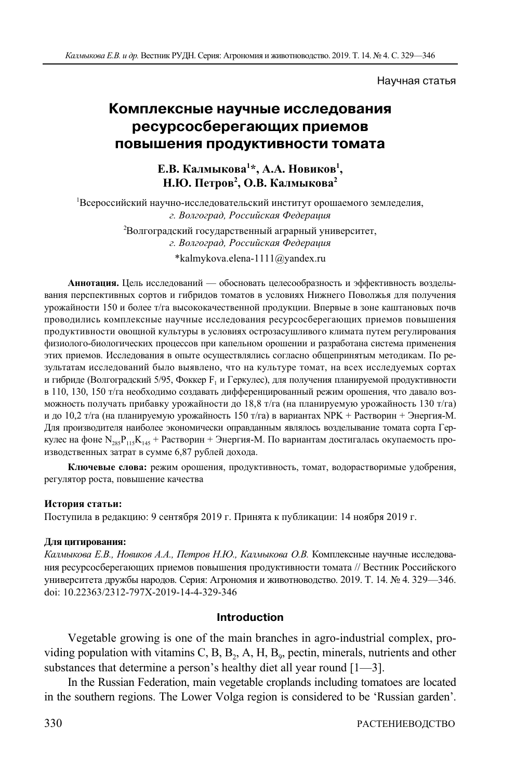#### Научная статья

# **Комплексные научные исследования ресурсосберегающих приемов повышения продуктивности томата**

**Е.В. Калмыкова1 \*, А.А. Новиков1 , Н.Ю. Петров2 , О.В. Калмыкова2**

1 Всероссийский научно-исследовательский институт орошаемого земледелия, *г. Волгоград, Российская Федерация*  2 Волгоградский государственный аграрный университет, *г. Волгоград, Российская Федерация*  \*kalmykova.elena-1111@yandex.ru

**Аннотация.** Цель исследований — обосновать целесообразность и эффективность возделывания перспективных сортов и гибридов томатов в условиях Нижнего Поволжья для получения урожайности 150 и более т/га высококачественной продукции. Впервые в зоне каштановых почв проводились комплексные научные исследования ресурсосберегающих приемов повышения продуктивности овощной культуры в условиях острозасушливого климата путем регулирования физиолого-биологических процессов при капельном орошении и разработана система применения этих приемов. Исследования в опыте осуществлялись согласно общепринятым методикам. По результатам исследований было выявлено, что на культуре томат, на всех исследуемых сортах и гибриде (Волгоградский 5/95, Фоккер F<sub>1</sub> и Геркулес), для получения планируемой продуктивности в 110, 130, 150 т/га необходимо создавать дифференцированный режим орошения, что давало возможность получать прибавку урожайности до 18,8 т/га (на планируемую урожайность 130 т/га) и до 10,2 т/га (на планируемую урожайность 150 т/га) в вариантах NPK + Растворин + Энергия-М. Для производителя наиболее экономически оправданным являлось возделывание томата сорта Геркулес на фоне  $N_{285}P_{115}K_{145}$  + Растворин + Энергия-М. По вариантам достигалась окупаемость производственных затрат в сумме 6,87 рублей дохода.

**Ключевые слова:** режим орошения, продуктивность, томат, водорастворимые удобрения, регулятор роста, повышение качества

#### **История статьи:**

Поступила в редакцию: 9 сентября 2019 г. Принята к публикации: 14 ноября 2019 г.

#### **Для цитирования:**

*Калмыкова Е.В., Новиков А.А., Петров Н.Ю., Калмыкова О.В.* Комплексные научные исследования ресурсосберегающих приемов повышения продуктивности томата // Вестник Российского университета дружбы народов. Серия: Агрономия и животноводство. 2019. Т. 14. № 4. 329—346. doi: 10.22363/2312-797X-2019-14-4-329-346

## **Introduction**

Vegetable growing is one of the main branches in agro-industrial complex, providing population with vitamins C, B, B<sub>2</sub>, A, H, B<sub>9</sub>, pectin, minerals, nutrients and other substances that determine a person's healthy diet all year round [1—3].

In the Russian Federation, main vegetable croplands including tomatoes are located in the southern regions. The Lower Volga region is considered to be 'Russian garden'.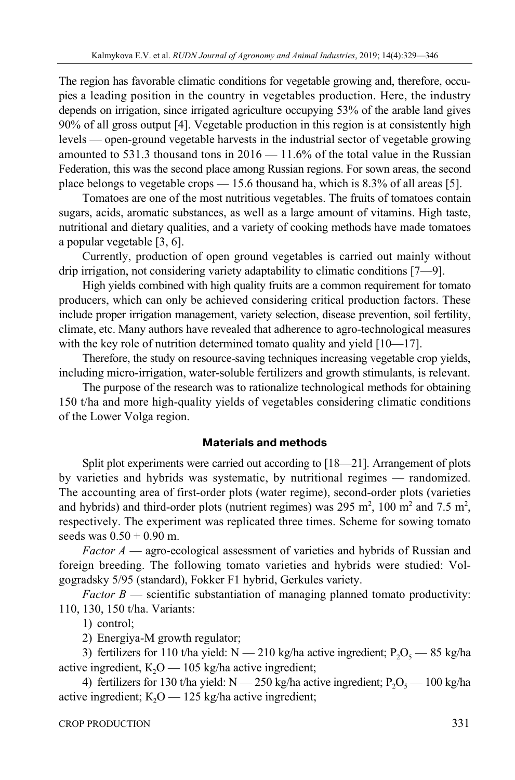The region has favorable climatic conditions for vegetable growing and, therefore, occupies a leading position in the country in vegetables production. Here, the industry depends on irrigation, since irrigated agriculture occupying 53% of the arable land gives 90% of all gross output [4]. Vegetable production in this region is at consistently high levels — open-ground vegetable harvests in the industrial sector of vegetable growing amounted to 531.3 thousand tons in  $2016 - 11.6\%$  of the total value in the Russian Federation, this was the second place among Russian regions. For sown areas, the second place belongs to vegetable crops — 15.6 thousand ha, which is 8.3% of all areas [5].

Tomatoes are one of the most nutritious vegetables. The fruits of tomatoes contain sugars, acids, aromatic substances, as well as a large amount of vitamins. High taste, nutritional and dietary qualities, and a variety of cooking methods have made tomatoes a popular vegetable [3, 6].

Currently, production of open ground vegetables is carried out mainly without drip irrigation, not considering variety adaptability to climatic conditions [7—9].

High yields combined with high quality fruits are a common requirement for tomato producers, which can only be achieved considering critical production factors. These include proper irrigation management, variety selection, disease prevention, soil fertility, climate, etc. Many authors have revealed that adherence to agro-technological measures with the key role of nutrition determined tomato quality and yield [10—17].

Therefore, the study on resource-saving techniques increasing vegetable crop yields, including micro-irrigation, water-soluble fertilizers and growth stimulants, is relevant.

The purpose of the research was to rationalize technological methods for obtaining 150 t/ha and more high-quality yields of vegetables considering climatic conditions of the Lower Volga region.

# **Materials and methods**

Split plot experiments were carried out according to [18—21]. Arrangement of plots by varieties and hybrids was systematic, by nutritional regimes — randomized. The accounting area of first-order plots (water regime), second-order plots (varieties and hybrids) and third-order plots (nutrient regimes) was 295 m<sup>2</sup>, 100 m<sup>2</sup> and 7.5 m<sup>2</sup>, respectively. The experiment was replicated three times. Scheme for sowing tomato seeds was  $0.50 + 0.90$  m.

*Factor A* — agro-ecological assessment of varieties and hybrids of Russian and foreign breeding. The following tomato varieties and hybrids were studied: Volgogradsky 5/95 (standard), Fokker F1 hybrid, Gerkules variety.

*Factor B* — scientific substantiation of managing planned tomato productivity: 110, 130, 150 t/ha. Variants:

1) control;

2) Energiya-M growth regulator;

3) fertilizers for 110 t/ha yield:  $N - 210$  kg/ha active ingredient;  $P_2O_5 - 85$  kg/ha active ingredient,  $K_2O$  — 105 kg/ha active ingredient;

4) fertilizers for 130 t/ha yield: N — 250 kg/ha active ingredient;  $P_2O_5$  — 100 kg/ha active ingredient;  $K_2O - 125$  kg/ha active ingredient;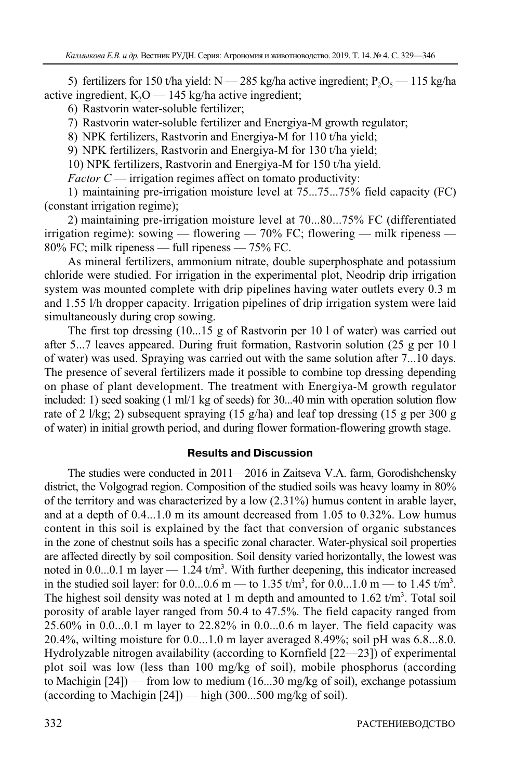5) fertilizers for 150 t/ha yield:  $N = 285$  kg/ha active ingredient;  $P_2O_5 = 115$  kg/ha active ingredient,  $K_2O - 145$  kg/ha active ingredient;

6) Rastvorin water-soluble fertilizer;

7) Rastvorin water-soluble fertilizer and Energiya-M growth regulator;

8) NPK fertilizers, Rastvorin and Energiya-M for 110 t/ha yield;

9) NPK fertilizers, Rastvorin and Energiya-M for 130 t/ha yield;

10) NPK fertilizers, Rastvorin and Energiya-M for 150 t/ha yield.

*Factor C* — irrigation regimes affect on tomato productivity:

1) maintaining pre-irrigation moisture level at 75...75...75% field capacity (FC) (constant irrigation regime);

2) maintaining pre-irrigation moisture level at 70...80...75% FC (differentiated irrigation regime): sowing — flowering — 70% FC; flowering — milk ripeness — 80% FC; milk ripeness — full ripeness — 75% FC.

As mineral fertilizers, ammonium nitrate, double superphosphate and potassium chloride were studied. For irrigation in the experimental plot, Neodrip drip irrigation system was mounted complete with drip pipelines having water outlets every 0.3 m and 1.55 l/h dropper capacity. Irrigation pipelines of drip irrigation system were laid simultaneously during crop sowing.

The first top dressing (10...15 g of Rastvorin per 10 l of water) was carried out after 5...7 leaves appeared. During fruit formation, Rastvorin solution (25 g per 10 l of water) was used. Spraying was carried out with the same solution after 7...10 days. The presence of several fertilizers made it possible to combine top dressing depending on phase of plant development. The treatment with Energiya-M growth regulator included: 1) seed soaking (1 ml/1 kg of seeds) for 30...40 min with operation solution flow rate of 2 l/kg; 2) subsequent spraying (15 g/ha) and leaf top dressing (15 g per 300 g of water) in initial growth period, and during flower formation-flowering growth stage.

# **Results and Discussion**

The studies were conducted in 2011—2016 in Zaitseva V.A. farm, Gorodishchensky district, the Volgograd region. Composition of the studied soils was heavy loamy in 80% of the territory and was characterized by a low (2.31%) humus content in arable layer, and at a depth of 0.4...1.0 m its amount decreased from 1.05 to 0.32%. Low humus content in this soil is explained by the fact that conversion of organic substances in the zone of chestnut soils has a specific zonal character. Water-physical soil properties are affected directly by soil composition. Soil density varied horizontally, the lowest was noted in  $0.0...0.1$  m layer  $-1.24$  t/m<sup>3</sup>. With further deepening, this indicator increased in the studied soil layer: for 0.0...0.6 m — to 1.35  $t/m^3$ , for 0.0...1.0 m — to 1.45  $t/m^3$ . The highest soil density was noted at 1 m depth and amounted to  $1.62 \text{ t/m}^3$ . Total soil porosity of arable layer ranged from 50.4 to 47.5%. The field capacity ranged from 25.60% in 0.0...0.1 m layer to 22.82% in 0.0...0.6 m layer. The field capacity was 20.4%, wilting moisture for 0.0...1.0 m layer averaged 8.49%; soil pH was 6.8...8.0. Hydrolyzable nitrogen availability (according to Kornfield [22—23]) of experimental plot soil was low (less than 100 mg/kg of soil), mobile phosphorus (according to Machigin [24]) — from low to medium (16...30 mg/kg of soil), exchange potassium (according to Machigin  $[24]$ ) — high  $(300...500$  mg/kg of soil).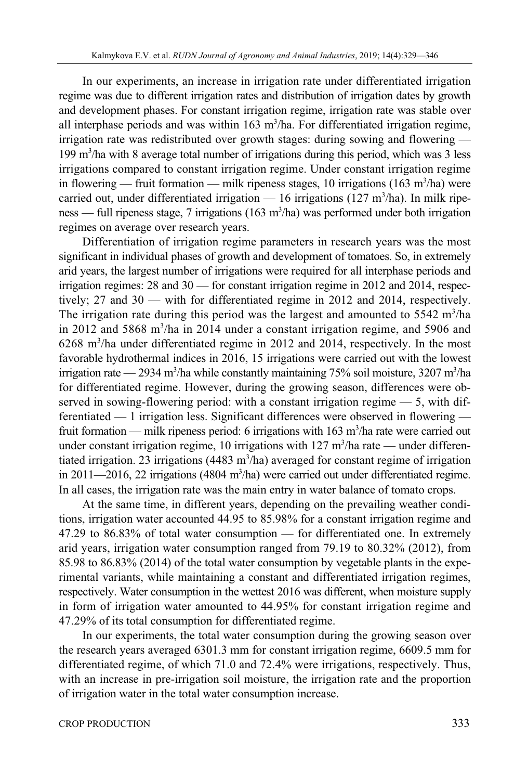In our experiments, an increase in irrigation rate under differentiated irrigation regime was due to different irrigation rates and distribution of irrigation dates by growth and development phases. For constant irrigation regime, irrigation rate was stable over all interphase periods and was within  $163 \text{ m}^3/\text{ha}$ . For differentiated irrigation regime, irrigation rate was redistributed over growth stages: during sowing and flowering — 199 m3 /ha with 8 average total number of irrigations during this period, which was 3 less irrigations compared to constant irrigation regime. Under constant irrigation regime in flowering — fruit formation — milk ripeness stages, 10 irrigations (163 m<sup>3</sup>/ha) were carried out, under differentiated irrigation  $- 16$  irrigations (127 m<sup>3</sup>/ha). In milk ripeness — full ripeness stage, 7 irrigations (163 m<sup>3</sup>/ha) was performed under both irrigation regimes on average over research years.

Differentiation of irrigation regime parameters in research years was the most significant in individual phases of growth and development of tomatoes. So, in extremely arid years, the largest number of irrigations were required for all interphase periods and irrigation regimes: 28 and 30 — for constant irrigation regime in 2012 and 2014, respectively; 27 and 30 — with for differentiated regime in 2012 and 2014, respectively. The irrigation rate during this period was the largest and amounted to  $5542 \text{ m}^3/\text{ha}$ in 2012 and 5868 m<sup>3</sup>/ha in 2014 under a constant irrigation regime, and 5906 and 6268 m3 /ha under differentiated regime in 2012 and 2014, respectively. In the most favorable hydrothermal indices in 2016, 15 irrigations were carried out with the lowest irrigation rate — 2934 m<sup>3</sup>/ha while constantly maintaining 75% soil moisture, 3207 m<sup>3</sup>/ha for differentiated regime. However, during the growing season, differences were observed in sowing-flowering period: with a constant irrigation regime — 5, with differentiated — 1 irrigation less. Significant differences were observed in flowering fruit formation — milk ripeness period: 6 irrigations with  $163 \text{ m}^3/\text{ha}$  rate were carried out under constant irrigation regime, 10 irrigations with  $127 \text{ m}^3/\text{ha}$  rate — under differentiated irrigation. 23 irrigations (4483 m<sup>3</sup>/ha) averaged for constant regime of irrigation in 2011—2016, 22 irrigations (4804 m<sup>3</sup>/ha) were carried out under differentiated regime. In all cases, the irrigation rate was the main entry in water balance of tomato crops.

At the same time, in different years, depending on the prevailing weather conditions, irrigation water accounted 44.95 to 85.98% for a constant irrigation regime and 47.29 to 86.83% of total water consumption — for differentiated one. In extremely arid years, irrigation water consumption ranged from 79.19 to 80.32% (2012), from 85.98 to 86.83% (2014) of the total water consumption by vegetable plants in the experimental variants, while maintaining a constant and differentiated irrigation regimes, respectively. Water consumption in the wettest 2016 was different, when moisture supply in form of irrigation water amounted to 44.95% for constant irrigation regime and 47.29% of its total consumption for differentiated regime.

In our experiments, the total water consumption during the growing season over the research years averaged 6301.3 mm for constant irrigation regime, 6609.5 mm for differentiated regime, of which 71.0 and 72.4% were irrigations, respectively. Thus, with an increase in pre-irrigation soil moisture, the irrigation rate and the proportion of irrigation water in the total water consumption increase.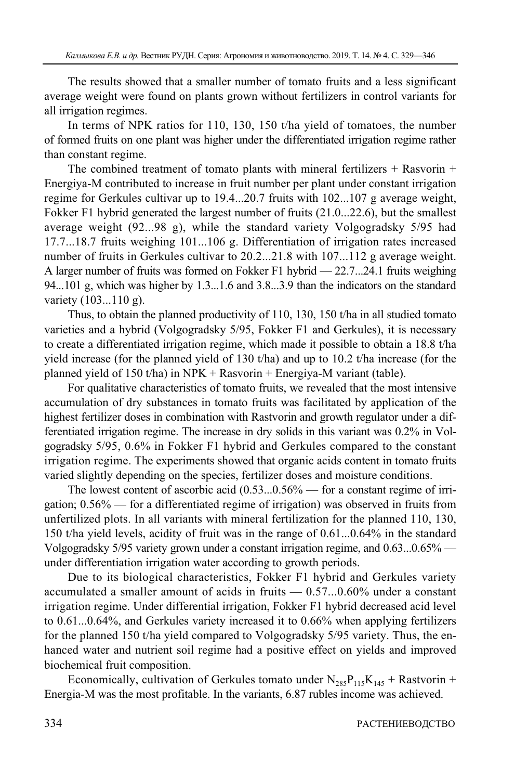The results showed that a smaller number of tomato fruits and a less significant average weight were found on plants grown without fertilizers in control variants for all irrigation regimes.

In terms of NPK ratios for 110, 130, 150 t/ha yield of tomatoes, the number of formed fruits on one plant was higher under the differentiated irrigation regime rather than constant regime.

The combined treatment of tomato plants with mineral fertilizers  $+$  Rasvorin  $+$ Energiya-M contributed to increase in fruit number per plant under constant irrigation regime for Gerkules cultivar up to 19.4...20.7 fruits with 102...107 g average weight, Fokker F1 hybrid generated the largest number of fruits (21.0...22.6), but the smallest average weight (92...98 g), while the standard variety Volgogradsky 5/95 had 17.7...18.7 fruits weighing 101...106 g. Differentiation of irrigation rates increased number of fruits in Gerkules cultivar to 20.2...21.8 with 107...112 g average weight. A larger number of fruits was formed on Fokker F1 hybrid — 22.7...24.1 fruits weighing 94...101 g, which was higher by 1.3...1.6 and 3.8...3.9 than the indicators on the standard variety (103...110 g).

Thus, to obtain the planned productivity of 110, 130, 150 t/ha in all studied tomato varieties and a hybrid (Volgogradsky 5/95, Fokker F1 and Gerkules), it is necessary to create a differentiated irrigation regime, which made it possible to obtain a 18.8 t/ha yield increase (for the planned yield of 130 t/ha) and up to 10.2 t/ha increase (for the planned yield of 150 t/ha) in NPK + Rasvorin + Energiya-M variant (table).

For qualitative characteristics of tomato fruits, we revealed that the most intensive accumulation of dry substances in tomato fruits was facilitated by application of the highest fertilizer doses in combination with Rastvorin and growth regulator under a differentiated irrigation regime. The increase in dry solids in this variant was 0.2% in Volgogradsky 5/95, 0.6% in Fokker F1 hybrid and Gerkules compared to the constant irrigation regime. The experiments showed that organic acids content in tomato fruits varied slightly depending on the species, fertilizer doses and moisture conditions.

The lowest content of ascorbic acid (0.53...0.56% — for a constant regime of irrigation; 0.56% — for a differentiated regime of irrigation) was observed in fruits from unfertilized plots. In all variants with mineral fertilization for the planned 110, 130, 150 t/ha yield levels, acidity of fruit was in the range of 0.61...0.64% in the standard Volgogradsky 5/95 variety grown under a constant irrigation regime, and 0.63...0.65% under differentiation irrigation water according to growth periods.

Due to its biological characteristics, Fokker F1 hybrid and Gerkules variety accumulated a smaller amount of acids in fruits — 0.57...0.60% under a constant irrigation regime. Under differential irrigation, Fokker F1 hybrid decreased acid level to 0.61...0.64%, and Gerkules variety increased it to 0.66% when applying fertilizers for the planned 150 t/ha yield compared to Volgogradsky 5/95 variety. Thus, the enhanced water and nutrient soil regime had a positive effect on yields and improved biochemical fruit composition.

Economically, cultivation of Gerkules tomato under  $N_{285}P_{115}K_{145}$  + Rastvorin + Energia-M was the most profitable. In the variants, 6.87 rubles income was achieved.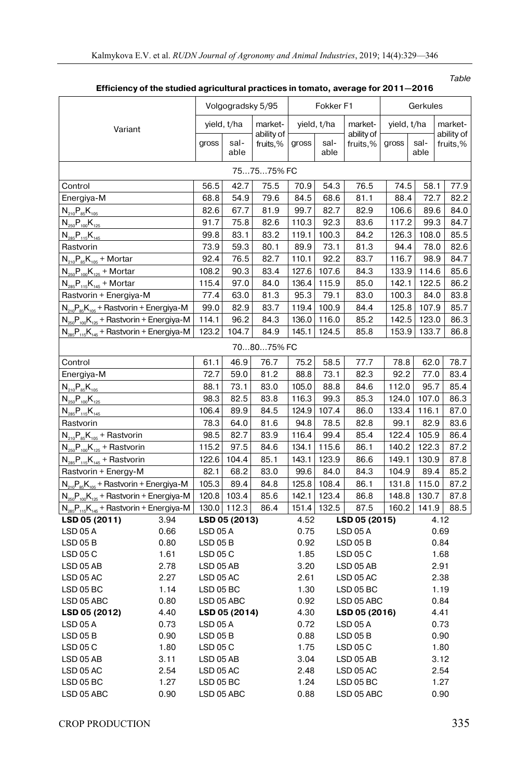| or the studied agricultural praetices in termate, average for Ee Fi   |      |                                            |               |                        |                      |                         |                        |             |              |                        |  |
|-----------------------------------------------------------------------|------|--------------------------------------------|---------------|------------------------|----------------------|-------------------------|------------------------|-------------|--------------|------------------------|--|
| Variant                                                               |      | Volgogradsky 5/95                          |               |                        | Fokker <sub>F1</sub> |                         |                        | Gerkules    |              |                        |  |
|                                                                       |      | yield, t/ha                                |               | market-                | yield, t/ha          |                         | market-                | yield, t/ha |              | market-                |  |
|                                                                       |      | gross                                      | sal-<br>able  | ability of<br>fruits,% | gross                | sal-<br>able            | ability of<br>fruits,% | gross       | sal-<br>able | ability of<br>fruits,% |  |
| 757575% FC                                                            |      |                                            |               |                        |                      |                         |                        |             |              |                        |  |
| Control                                                               |      | 56.5                                       | 42.7          | 75.5                   | 70.9                 | 54.3                    | 76.5                   | 74.5        | 58.1         | 77.9                   |  |
| Energiya-M                                                            |      | 68.8                                       | 54.9          | 79.6                   | 84.5                 | 68.6                    | 81.1                   | 88.4        | 72.7         | 82.2                   |  |
| $N_{210}P_{85}K_{105}$                                                |      | 82.6                                       | 67.7          | 81.9                   | 99.7                 | 82.7                    | 82.9                   | 106.6       | 89.6         | 84.0                   |  |
| $N_{250}P_{100}K_{125}$                                               |      | 91.7                                       | 75.8          | 82.6                   | 110.3                | 92.3                    | 83.6                   | 117.2       | 99.3         | 84.7                   |  |
| $N_{285}P_{115}K_{145}$                                               |      | 99.8                                       | 83.1          | 83.2                   | 119.1                | 100.3                   | 84.2                   | 126.3       | 108.0        | 85.5                   |  |
| Rastvorin                                                             |      | 73.9                                       | 59.3          | 80.1                   | 89.9                 | 73.1                    | 81.3                   | 94.4        | 78.0         | 82.6                   |  |
| $N_{210}P_{85}K_{105}$ + Mortar                                       |      | 92.4                                       | 76.5          | 82.7                   | 110.1                | 92.2                    | 83.7                   | 116.7       | 98.9         | 84.7                   |  |
| $N_{250}P_{100}K_{125}$ + Mortar                                      |      | 108.2                                      | 90.3          | 83.4                   | 127.6                | 107.6                   | 84.3                   | 133.9       | 114.6        | 85.6                   |  |
| $N_{285}P_{115}K_{145}$ + Mortar                                      |      | 115.4                                      | 97.0          | 84.0                   | 136.4                | 115.9                   | 85.0                   | 142.1       | 122.5        | 86.2                   |  |
| Rastvorin + Energiya-M                                                |      | 77.4                                       | 63.0          | 81.3                   | 95.3                 | 79.1                    | 83.0                   | 100.3       | 84.0         | 83.8                   |  |
| $N_{210}P_{85}K_{105}$ + Rastvorin + Energiya-M                       |      | 99.0                                       | 82.9          | 83.7                   | 119.4                | 100.9                   | 84.4                   | 125.8       | 107.9        | 85.7                   |  |
| $N_{250}P_{100}K_{125}$ + Rastvorin + Energiya-M                      |      | 114.1                                      | 96.2          | 84.3                   | 136.0                | 116.0                   | 85.2                   | 142.5       | 123.0        | 86.3                   |  |
| $N_{\text{gas}}P_{\text{115}}K_{\text{145}}$ + Rastvorin + Energiya-M |      | 123.2                                      | 104.7         | 84.9                   | 145.1                | 124.5                   | 85.8                   | 153.9       | 133.7        | 86.8                   |  |
| 708075% FC                                                            |      |                                            |               |                        |                      |                         |                        |             |              |                        |  |
| Control                                                               |      | 61.1                                       | 46.9          | 76.7                   | 75.2                 | 58.5                    | 77.7                   | 78.8        | 62.0         | 78.7                   |  |
| Energiya-M                                                            |      | 72.7                                       | 59.0          | 81.2                   | 88.8                 | 73.1                    | 82.3                   | 92.2        | 77.0         | 83.4                   |  |
| $N_{210}P_{85}K_{105}$                                                |      | 88.1                                       | 73.1          | 83.0                   | 105.0                | 88.8                    | 84.6                   | 112.0       | 95.7         | 85.4                   |  |
| $N_{250}P_{100}K_{125}$                                               |      | 98.3                                       | 82.5          | 83.8                   | 116.3                | 99.3                    | 85.3                   | 124.0       | 107.0        | 86.3                   |  |
| $N_{285}P_{115}K_{145}$                                               |      | 106.4                                      | 89.9          | 84.5                   | 124.9                | 107.4                   | 86.0                   | 133.4       | 116.1        | 87.0                   |  |
| Rastvorin                                                             |      | 78.3                                       | 64.0          | 81.6                   | 94.8                 | 78.5                    | 82.8                   | 99.1        | 82.9         | 83.6                   |  |
| $N_{210}P_{85}K_{105}$ + Rastvorin                                    |      | 98.5                                       | 82.7          | 83.9                   | 116.4                | 99.4                    | 85.4                   | 122.4       | 105.9        | 86.4                   |  |
| $N_{250}P_{100}K_{125}$ + Rastvorin                                   |      | 115.2                                      | 97.5          | 84.6                   | 134.1                | 115.6                   | 86.1                   | 140.2       | 122.3        | 87.2                   |  |
| $N_{285}P_{115}K_{145}$ + Rastvorin                                   |      | 122.6                                      | 104.4         | 85.1                   | 143.1                | 123.9                   | 86.6                   | 149.1       | 130.9        | 87.8                   |  |
| Rastvorin + Energy-M                                                  |      | 82.1                                       | 68.2          | 83.0                   | 99.6                 | 84.0                    | 84.3                   | 104.9       | 89.4         | 85.2                   |  |
| $N_{210}P_{85}K_{105}$ + Rastvorin + Energiya-M                       |      | 105.3                                      | 89.4          | 84.8                   | 125.8                | 108.4                   | 86.1                   | 131.8       | 115.0        | 87.2                   |  |
| $N_{250}P_{100}K_{125}$ + Rastvorin + Energiya-M                      |      | 120.8                                      | 103.4         | 85.6                   | 142.1                | 123.4                   | 86.8                   | 148.8       | 130.7        | 87.8                   |  |
| $N_{285}P_{115}K_{145}$ + Rastvorin + Energiya-M                      |      |                                            | 130.0 112.3   | 86.4                   |                      | 151.4 132.5             | 87.5                   | 160.2       | 141.9        | 88.5                   |  |
| LSD 05 (2011)                                                         | 3.94 |                                            | LSD 05 (2013) |                        | 4.52                 |                         | LSD 05 (2015)          |             |              | 4.12                   |  |
| <b>LSD 05 A</b>                                                       | 0.66 | <b>LSD 05 A</b>                            |               |                        | 0.75                 |                         | <b>LSD 05 A</b>        |             |              | 0.69                   |  |
| <b>LSD 05 B</b>                                                       | 0.80 | 0.92<br><b>LSD 05 B</b><br><b>LSD 05 B</b> |               |                        |                      |                         | 0.84                   |             |              |                        |  |
| LSD 05 C                                                              | 1.61 | LSD 05 C<br>1.85<br>LSD 05 C               |               |                        |                      |                         | 1.68                   |             |              |                        |  |
| LSD 05 AB                                                             | 2.78 | LSD 05 AB                                  |               |                        |                      | 3.20<br>LSD 05 AB       |                        |             |              | 2.91                   |  |
| LSD 05 AC                                                             | 2.27 | LSD 05 AC                                  |               |                        | 2.61                 | LSD 05 AC               |                        |             |              | 2.38                   |  |
| LSD 05 BC                                                             | 1.14 | LSD 05 BC                                  |               |                        | 1.30                 |                         | $LSD$ 05 BC            |             | 1.19         |                        |  |
| LSD 05 ABC                                                            | 0.80 | LSD 05 ABC                                 |               |                        | 0.92                 |                         | LSD 05 ABC             |             |              | 0.84                   |  |
| LSD 05 (2012)                                                         | 4.40 | LSD 05 (2014)                              |               |                        | 4.30                 | LSD 05 (2016)           |                        |             |              | 4.41                   |  |
| <b>LSD 05 A</b>                                                       | 0.73 | LSD 05 A                                   |               |                        |                      | 0.72<br><b>LSD 05 A</b> |                        |             |              | 0.73                   |  |
| LSD 05B                                                               | 0.90 | <b>LSD 05 B</b>                            |               |                        | 0.88                 | $LSD$ 05 $B$            |                        |             |              | 0.90                   |  |
| LSD 05 C                                                              | 1.80 | LSD 05 C                                   |               |                        |                      | 1.75<br><b>LSD 05 C</b> |                        |             |              | 1.80                   |  |
| LSD 05 AB                                                             | 3.11 | LSD 05 AB                                  |               |                        | 3.04                 |                         | LSD 05 AB              |             |              | 3.12                   |  |
| LSD 05 AC                                                             | 2.54 | LSD 05 AC                                  |               |                        | 2.48                 | LSD 05 AC               |                        |             |              | 2.54                   |  |
| LSD 05 BC                                                             | 1.27 | LSD 05 BC                                  |               |                        | 1.24                 |                         | LSD 05 BC              |             |              | 1.27                   |  |
| LSD 05 ABC                                                            | 0.90 | LSD 05 ABC                                 |               |                        | 0.88                 |                         | LSD 05 ABC             |             |              | 0.90                   |  |

**Efficiency of the studied agricultural practices in tomato, average for 2011—2016** 

Table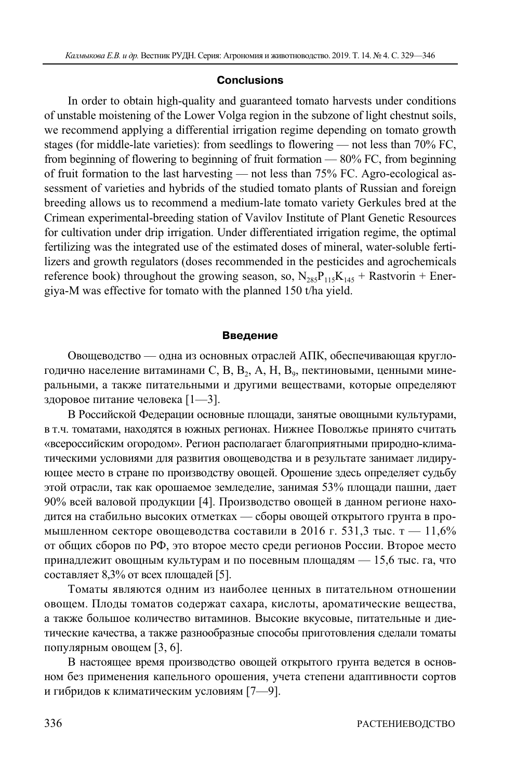#### **Conclusions**

In order to obtain high-quality and guaranteed tomato harvests under conditions of unstable moistening of the Lower Volga region in the subzone of light chestnut soils, we recommend applying a differential irrigation regime depending on tomato growth stages (for middle-late varieties): from seedlings to flowering — not less than 70% FC, from beginning of flowering to beginning of fruit formation — 80% FC, from beginning of fruit formation to the last harvesting — not less than 75% FC. Agro-ecological assessment of varieties and hybrids of the studied tomato plants of Russian and foreign breeding allows us to recommend a medium-late tomato variety Gerkules bred at the Crimean experimental-breeding station of Vavilov Institute of Plant Genetic Resources for cultivation under drip irrigation. Under differentiated irrigation regime, the optimal fertilizing was the integrated use of the estimated doses of mineral, water-soluble fertilizers and growth regulators (doses recommended in the pesticides and agrochemicals reference book) throughout the growing season, so,  $N_{285}P_{115}K_{145}$  + Rastvorin + Energiya-M was effective for tomato with the planned 150 t/ha yield.

#### **Введение**

Овощеводство — одна из основных отраслей АПК, обеспечивающая круглогодично население витаминами С, В, В<sub>2</sub>, А, Н, В<sub>9</sub>, пектиновыми, ценными минеральными, а также питательными и другими веществами, которые определяют здоровое питание человека [1—3].

В Российской Федерации основные площади, занятые овощными культурами, в т.ч. томатами, находятся в южных регионах. Нижнее Поволжье принято считать «всероссийским огородом». Регион располагает благоприятными природно-климатическими условиями для развития овощеводства и в результате занимает лидирующее место в стране по производству овощей. Орошение здесь определяет судьбу этой отрасли, так как орошаемое земледелие, занимая 53% площади пашни, дает 90% всей валовой продукции [4]. Производство овощей в данном регионе находится на стабильно высоких отметках — сборы овощей открытого грунта в промышленном секторе овощеводства составили в 2016 г. 531,3 тыс. т - 11,6% от общих сборов по РФ, это второе место среди регионов России. Второе место принадлежит овощным культурам и по посевным площадям — 15,6 тыс. га, что составляет 8,3% от всех площадей [5].

Томаты являются одним из наиболее ценных в питательном отношении овощем. Плоды томатов содержат сахара, кислоты, ароматические вещества, а также большое количество витаминов. Высокие вкусовые, питательные и диетические качества, а также разнообразные способы приготовления сделали томаты популярным овощем [3, 6].

В настоящее время производство овощей открытого грунта ведется в основном без применения капельного орошения, учета степени адаптивности сортов и гибридов к климатическим условиям [7—9].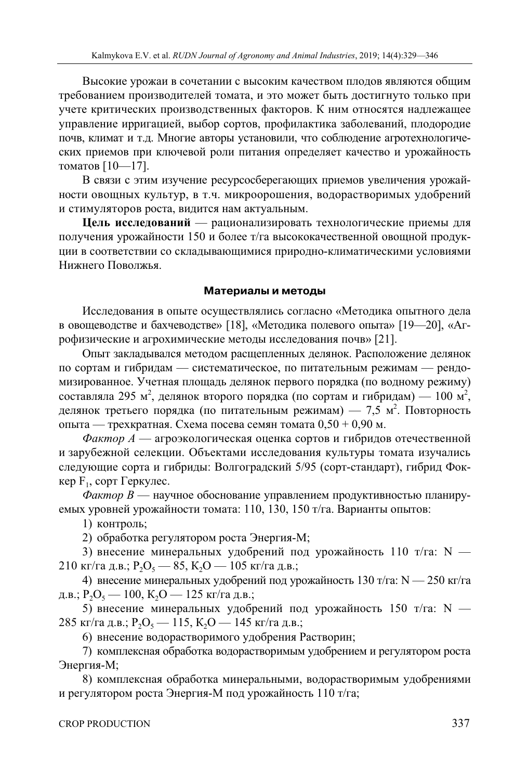Высокие урожаи в сочетании с высоким качеством плодов являются общим требованием производителей томата, и это может быть достигнуто только при учете критических производственных факторов. К ним относятся надлежащее управление ирригацией, выбор сортов, профилактика заболеваний, плодородие почв, климат и т.д. Многие авторы установили, что соблюдение агротехнологических приемов при ключевой роли питания определяет качество и урожайность томатов [10—17].

В связи с этим изучение ресурсосберегающих приемов увеличения урожайности овощных культур, в т.ч. микроорошения, водорастворимых удобрений и стимуляторов роста, видится нам актуальным.

**Цель исследований** — рационализировать технологические приемы для получения урожайности 150 и более т/га высококачественной овощной продукции в соответствии со складывающимися природно-климатическими условиями Нижнего Поволжья.

## **Материалы и методы**

Исследования в опыте осуществлялись согласно «Методика опытного дела в овощеводстве и бахчеводстве» [18], «Методика полевого опыта» [19—20], «Агрофизические и агрохимические методы исследования почв» [21].

Опыт закладывался методом расщепленных делянок. Расположение делянок по сортам и гибридам — систематическое, по питательным режимам — рендомизированное. Учетная площадь делянок первого порядка (по водному режиму) составляла 295 м<sup>2</sup>, делянок второго порядка (по сортам и гибридам) — 100 м<sup>2</sup>, делянок третьего порядка (по питательным режимам) — 7,5 м<sup>2</sup>. Повторность опыта — трехкратная. Схема посева семян томата 0,50 + 0,90 м.

*Фактор А* — агроэкологическая оценка сортов и гибридов отечественной и зарубежной селекции. Объектами исследования культуры томата изучались следующие сорта и гибриды: Волгоградский 5/95 (сорт-стандарт), гибрид Фоккер  $F_1$ , сорт Геркулес.

*Фактор В* — научное обоснование управлением продуктивностью планируемых уровней урожайности томата: 110, 130, 150 т/га. Варианты опытов:

1) контроль;

2) обработка регулятором роста Энергия-М;

3) внесение минеральных удобрений под урожайность 110 т/га:  $N -$ 210 кг/га д.в.; Р<sub>2</sub>О<sub>5</sub> — 85, К<sub>2</sub>О — 105 кг/га д.в.;

4) внесение минеральных удобрений под урожайность 130 т/га: N - 250 кг/га д.в.; Р<sub>2</sub>О<sub>5</sub> — 100, К<sub>2</sub>О — 125 кг/га д.в.;

5) внесение минеральных удобрений под урожайность 150 т/га: N — 285 кг/га д.в.; Р<sub>2</sub>О<sub>5</sub> — 115, К<sub>2</sub>О — 145 кг/га д.в.;

6) внесение водорастворимого удобрения Растворин;

7) комплексная обработка водорастворимым удобрением и регулятором роста Энергия-М;

8) комплексная обработка минеральными, водорастворимым удобрениями и регулятором роста Энергия-М под урожайность 110 т/га;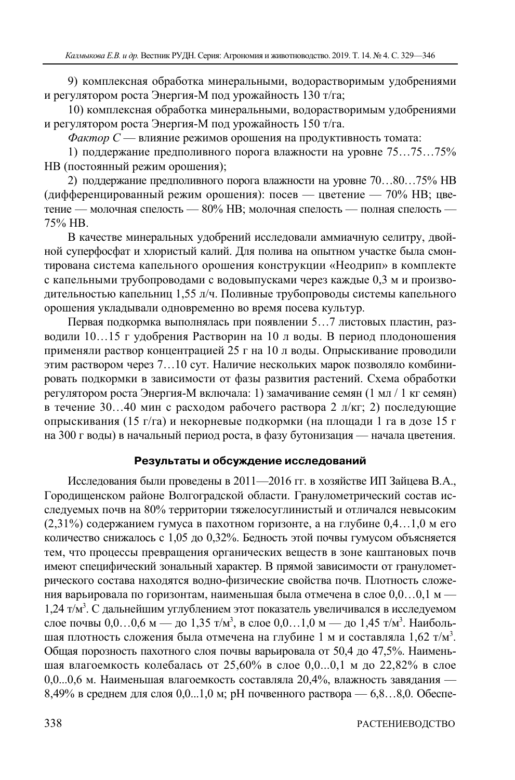9) комплексная обработка минеральными, водорастворимым удобрениями и регулятором роста Энергия-М под урожайность 130 т/га;

10) комплексная обработка минеральными, водорастворимым удобрениями и регулятором роста Энергия-М под урожайность 150 т/га.

*Фактор С* — влияние режимов орошения на продуктивность томата:

1) поддержание предполивного порога влажности на уровне 75…75…75% НВ (постоянный режим орошения);

2) поддержание предполивного порога влажности на уровне 70…80…75% НВ (дифференцированный режим орошения): посев — цветение — 70% НВ; цветение — молочная спелость — 80% НВ; молочная спелость — полная спелость — 75% НВ.

В качестве минеральных удобрений исследовали аммиачную селитру, двойной суперфосфат и хлористый калий. Для полива на опытном участке была смонтирована система капельного орошения конструкции «Неодрип» в комплекте с капельными трубопроводами с водовыпусками через каждые 0,3 м и производительностью капельниц 1,55 л/ч. Поливные трубопроводы системы капельного орошения укладывали одновременно во время посева культур.

Первая подкормка выполнялась при появлении 5…7 листовых пластин, разводили 10…15 г удобрения Растворин на 10 л воды. В период плодоношения применяли раствор концентрацией 25 г на 10 л воды. Опрыскивание проводили этим раствором через 7…10 сут. Наличие нескольких марок позволяло комбинировать подкормки в зависимости от фазы развития растений. Схема обработки регулятором роста Энергия-М включала: 1) замачивание семян (1 мл / 1 кг семян) в течение 30…40 мин с расходом рабочего раствора 2 л/кг; 2) последующие опрыскивания (15 г/га) и некорневые подкормки (на площади 1 га в дозе 15 г на 300 г воды) в начальный период роста, в фазу бутонизация — начала цветения.

# **Результаты и обсуждение исследований**

Исследования были проведены в 2011—2016 гг. в хозяйстве ИП Зайцева В.А., Городищенском районе Волгоградской области. Гранулометрический состав исследуемых почв на 80% территории тяжелосуглинистый и отличался невысоким (2,31%) содержанием гумуса в пахотном горизонте, а на глубине 0,4…1,0 м его количество снижалось с 1,05 до 0,32%. Бедность этой почвы гумусом объясняется тем, что процессы превращения органических веществ в зоне каштановых почв имеют специфический зональный характер. В прямой зависимости от гранулометрического состава находятся водно-физические свойства почв. Плотность сложения варьировала по горизонтам, наименьшая была отмечена в слое  $0,0...0,1$  м — 1,24 т/м<sup>3</sup>. С дальнейшим углублением этот показатель увеличивался в исследуемом слое почвы 0,0...0,6 м — до 1,35 т/м<sup>3</sup>, в слое 0,0...1,0 м — до 1,45 т/м<sup>3</sup>. Наибольшая плотность сложения была отмечена на глубине 1 м и составляла  $1,62$  т/м<sup>3</sup>. Общая порозность пахотного слоя почвы варьировала от 50,4 до 47,5%. Наименьшая влагоемкость колебалась от 25,60% в слое 0,0...0,1 м до 22,82% в слое 0,0...0,6 м. Наименьшая влагоемкость составляла 20,4%, влажность завядания —  $8,49\%$  в среднем для слоя 0,0...1,0 м; рН почвенного раствора — 6,8...8,0. Обеспе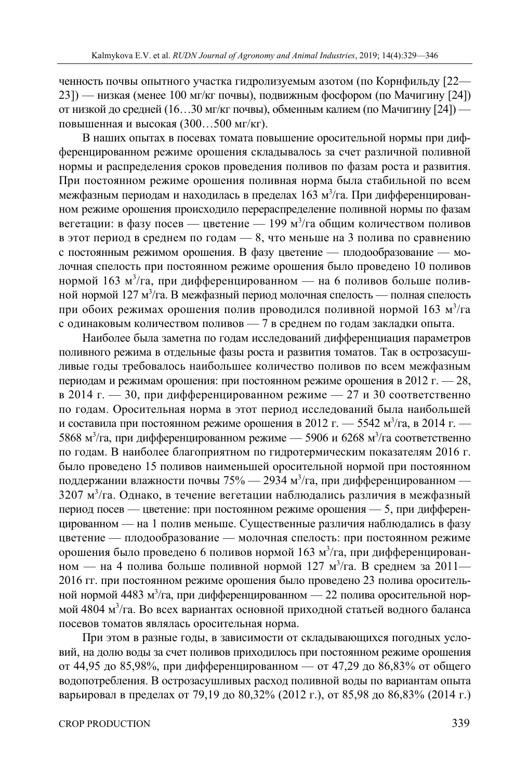ченность почвы опытного участка гидролизуемым азотом (по Корнфильду [22— 23]) — низкая (менее 100 мг/кг почвы), подвижным фосфором (по Мачигину [24]) от низкой до средней (16…30 мг/кг почвы), обменным калием (по Мачигину [24]) повышенная и высокая (300…500 мг/кг).

В наших опытах в посевах томата повышение оросительной нормы при дифференцированном режиме орошения складывалось за счет различной поливной нормы и распределения сроков проведения поливов по фазам роста и развития. При постоянном режиме орошения поливная норма была стабильной по всем межфазным периодам и находилась в пределах 163 м<sup>3</sup>/га. При дифференцированном режиме орошения происходило перераспределение поливной нормы по фазам вегетации: в фазу посев — цветение — 199 м<sup>3</sup>/га общим количеством поливов в этот период в среднем по годам — 8, что меньше на 3 полива по сравнению с постоянным режимом орошения. В фазу цветение — плодообразование — молочная спелость при постоянном режиме орошения было проведено 10 поливов нормой 163 м<sup>3</sup>/га, при дифференцированном — на 6 поливов больше поливной нормой 127 м $^3$ /га. В межфазный период молочная спелость — полная спелость при обоих режимах орошения полив проводился поливной нормой 163 м<sup>3</sup>/га с одинаковым количеством поливов — 7 в среднем по годам закладки опыта.

Наиболее была заметна по годам исследований дифференциация параметров поливного режима в отдельные фазы роста и развития томатов. Так в острозасушливые годы требовалось наибольшее количество поливов по всем межфазным периодам и режимам орошения: при постоянном режиме орошения в 2012 г.  $-28$ , в 2014 г. — 30, при дифференцированном режиме — 27 и 30 соответственно по годам. Оросительная норма в этот период исследований была наибольшей и составила при постоянном режиме орошения в 2012 г. — 5542 м<sup>3</sup>/га, в 2014 г. — 5868 м<sup>3</sup>/га, при дифференцированном режиме — 5906 и 6268 м<sup>3</sup>/га соответственно по годам. В наиболее благоприятном по гидротермическим показателям 2016 г. было проведено 15 поливов наименьшей оросительной нормой при постоянном поддержании влажности почвы 75% — 2934 м $^3$ /га, при дифференцированном — 3207 м<sup>3</sup>/га. Однако, в течение вегетации наблюдались различия в межфазный период посев — цветение: при постоянном режиме орошения — 5, при дифференцированном — на 1 полив меньше. Существенные различия наблюдались в фазу цветение — плодообразование — молочная спелость: при постоянном режиме орошения было проведено 6 поливов нормой 163 м<sup>3</sup>/га, при дифференцированном — на 4 полива больше поливной нормой 127 м<sup>3</sup>/га. В среднем за 2011— 2016 гг. при постоянном режиме орошения было проведено 23 полива оросительной нормой 4483 м<sup>3</sup>/га, при дифференцированном — 22 полива оросительной нормой 4804 м<sup>3</sup>/га. Во всех вариантах основной приходной статьей водного баланса посевов томатов являлась оросительная норма.

При этом в разные годы, в зависимости от складывающихся погодных условий, на долю воды за счет поливов приходилось при постоянном режиме орошения от 44,95 до 85,98%, при дифференцированном — от 47,29 до 86,83% от общего водопотребления. В острозасушливых расход поливной воды по вариантам опыта варьировал в пределах от 79,19 до 80,32% (2012 г.), от 85,98 до 86,83% (2014 г.)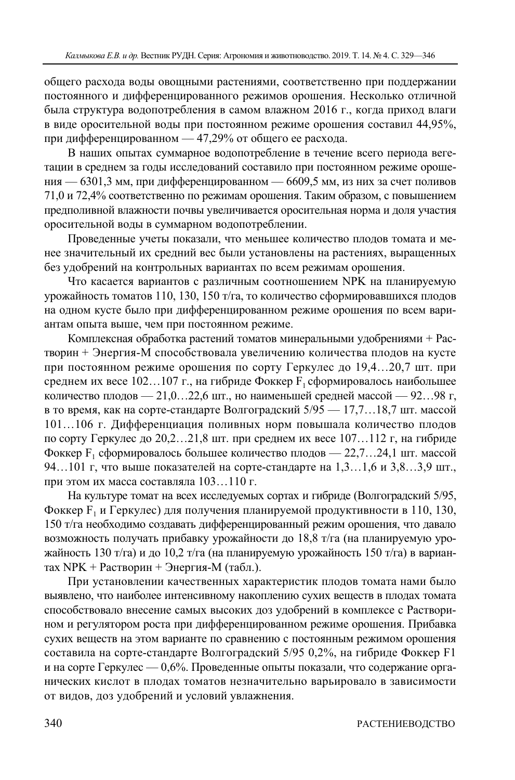общего расхода воды овощными растениями, соответственно при поддержании постоянного и дифференцированного режимов орошения. Несколько отличной была структура водопотребления в самом влажном 2016 г., когда приход влаги в виде оросительной воды при постоянном режиме орошения составил 44,95%, при дифференцированном — 47,29% от общего ее расхода.

В наших опытах суммарное водопотребление в течение всего периода вегетации в среднем за годы исследований составило при постоянном режиме орошения — 6301,3 мм, при дифференцированном — 6609,5 мм, из них за счет поливов 71,0 и 72,4% соответственно по режимам орошения. Таким образом, с повышением предполивной влажности почвы увеличивается оросительная норма и доля участия оросительной воды в суммарном водопотреблении.

Проведенные учеты показали, что меньшее количество плодов томата и менее значительный их средний вес были установлены на растениях, выращенных без удобрений на контрольных вариантах по всем режимам орошения.

Что касается вариантов с различным соотношением NPK на планируемую урожайность томатов 110, 130, 150 т/га, то количество сформировавшихся плодов на одном кусте было при дифференцированном режиме орошения по всем вариантам опыта выше, чем при постоянном режиме.

Комплексная обработка растений томатов минеральными удобрениями + Растворин + Энергия-М способствовала увеличению количества плодов на кусте при постоянном режиме орошения по сорту Геркулес до 19,4…20,7 шт. при среднем их весе  $102...107$  г., на гибриде Фоккер  $F_1$  сформировалось наибольшее количество плодов — 21,0…22,6 шт., но наименьшей средней массой — 92…98 г, в то время, как на сорте-стандарте Волгоградский 5/95 — 17,7…18,7 шт. массой 101…106 г. Дифференциация поливных норм повышала количество плодов по сорту Геркулес до 20,2…21,8 шт. при среднем их весе 107…112 г, на гибриде Фоккер  $F_1$  сформировалось большее количество плодов — 22,7...24,1 шт. массой 94…101 г, что выше показателей на сорте-стандарте на 1,3…1,6 и 3,8…3,9 шт., при этом их масса составляла 103…110 г.

На культуре томат на всех исследуемых сортах и гибриде (Волгоградский 5/95, Фоккер F<sub>1</sub> и Геркулес) для получения планируемой продуктивности в 110, 130, 150 т/га необходимо создавать дифференцированный режим орошения, что давало возможность получать прибавку урожайности до 18,8 т/га (на планируемую урожайность 130 т/га) и до 10,2 т/га (на планируемую урожайность 150 т/га) в вариантах NPK + Растворин + Энергия-М (табл.).

При установлении качественных характеристик плодов томата нами было выявлено, что наиболее интенсивному накоплению сухих веществ в плодах томата способствовало внесение самых высоких доз удобрений в комплексе с Растворином и регулятором роста при дифференцированном режиме орошения. Прибавка сухих веществ на этом варианте по сравнению с постоянным режимом орошения составила на сорте-стандарте Волгоградский 5/95 0,2%, на гибриде Фоккер F1 и на сорте Геркулес — 0,6%. Проведенные опыты показали, что содержание органических кислот в плодах томатов незначительно варьировало в зависимости от видов, доз удобрений и условий увлажнения.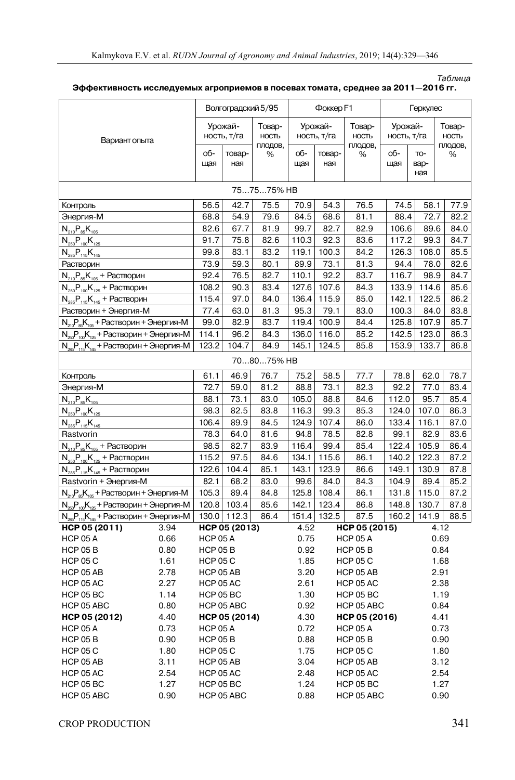| Вариант опыта                                                        |      | Волгоградский 5/95 |               |            | Фоккер F1             |                         |                 | Геркулес    |             |         |  |
|----------------------------------------------------------------------|------|--------------------|---------------|------------|-----------------------|-------------------------|-----------------|-------------|-------------|---------|--|
|                                                                      |      | Урожай-            |               | Товар-     | Урожай-               |                         | Товар-          | Урожай-     |             | Товар-  |  |
|                                                                      |      | ность, т/га        |               | НОСТЬ      | ность, т/га           |                         | НОСТЬ           | ность, т/га |             | НОСТЬ   |  |
|                                                                      |      |                    |               | плодов,    |                       |                         | плодов,         |             |             | плодов, |  |
|                                                                      |      | об-                | товар-        | %          | об-                   | товар-                  | %               | об-         | TO-         | %       |  |
|                                                                      |      | щая                | ная           |            | щая                   | ная                     |                 | щая         | вар-<br>ная |         |  |
|                                                                      |      |                    |               |            |                       |                         |                 |             |             |         |  |
|                                                                      |      |                    |               | 757575% HB |                       |                         |                 |             |             |         |  |
| Контроль                                                             |      | 56.5               | 42.7          | 75.5       | 70.9                  | 54.3                    | 76.5            | 74.5        | 58.1        | 77.9    |  |
| Энергия-М                                                            |      | 68.8               | 54.9          | 79.6       | 84.5                  | 68.6                    | 81.1            | 88.4        | 72.7        | 82.2    |  |
| $N_{210}P_{85}K_{105}$                                               |      | 82.6               | 67.7          | 81.9       | 99.7                  | 82.7                    | 82.9            | 106.6       | 89.6        | 84.0    |  |
| $N_{250}P_{100}K_{125}$                                              |      | 91.7               | 75.8          | 82.6       | 110.3                 | 92.3                    | 83.6            | 117.2       | 99.3        | 84.7    |  |
| $N_{285}P_{115}K_{145}$                                              |      | 99.8               | 83.1          | 83.2       | 119.1                 | 100.3                   | 84.2            | 126.3       | 108.0       | 85.5    |  |
| Растворин                                                            |      | 73.9               | 59.3          | 80.1       | 89.9                  | 73.1                    | 81.3            | 94.4        | 78.0        | 82.6    |  |
| $N_{210}P_{85}K_{105}$ + Растворин                                   |      | 92.4               | 76.5          | 82.7       | 110.1                 | 92.2                    | 83.7            | 116.7       | 98.9        | 84.7    |  |
| $N_{250}P_{100}K_{125}$ + Растворин                                  |      | 108.2              | 90.3          | 83.4       | 127.6                 | 107.6                   | 84.3            | 133.9       | 114.6       | 85.6    |  |
| $N_{285}P_{115}K_{145}$ + Растворин                                  |      | 115.4              | 97.0          | 84.0       | 136.4                 | 115.9                   | 85.0            | 142.1       | 122.5       | 86.2    |  |
| Растворин + Энергия-М                                                |      | 77.4               | 63.0          | 81.3       | 95.3                  | 79.1                    | 83.0            | 100.3       | 84.0        | 83.8    |  |
| $N_{210}P_{85}K_{105}$ + Растворин + Энергия-М                       |      | 99.0               | 82.9          | 83.7       | 119.4                 | 100.9                   | 84.4            | 125.8       | 107.9       | 85.7    |  |
| $N_{250}P_{100}K_{125}$ + Растворин + Энергия-М                      |      | 114.1              | 96.2          | 84.3       | 136.0                 | 116.0                   | 85.2            | 142.5       | 123.0       | 86.3    |  |
| $N_{285}P_{115}K_{145}$ + Растворин + Энергия-М                      |      | 123.2              | 104.7         | 84.9       | 145.1                 | 124.5                   | 85.8            | 153.9       | 133.7       | 86.8    |  |
|                                                                      |      |                    |               | 708075% HB |                       |                         |                 |             |             |         |  |
| Контроль                                                             |      | 61.1               | 46.9          | 76.7       | 75.2                  | 58.5                    | 77.7            | 78.8        | 62.0        | 78.7    |  |
| Энергия-М                                                            |      | 72.7               | 59.0          | 81.2       | 88.8                  | 73.1                    | 82.3            | 92.2        | 77.0        | 83.4    |  |
| $N_{210}P_{85}K_{105}$                                               |      | 88.1               | 73.1          | 83.0       | 105.0                 | 88.8                    | 84.6            | 112.0       | 95.7        | 85.4    |  |
| $N_{250}P_{100}K_{125}$                                              |      | 98.3               | 82.5          | 83.8       | 116.3                 | 99.3                    | 85.3            | 124.0       | 107.0       | 86.3    |  |
| $N_{285}P_{115}K_{145}$                                              |      | 106.4              | 89.9          | 84.5       | 124.9                 | 107.4                   | 86.0            | 133.4       | 116.1       | 87.0    |  |
| Rastvorin                                                            |      | 78.3               | 64.0          | 81.6       | 94.8                  | 78.5                    | 82.8            | 99.1        | 82.9        | 83.6    |  |
| $N_{210}P_{85}K_{105}$ + Растворин                                   |      | 98.5               | 82.7          | 83.9       | 116.4                 | 99.4                    | 85.4            | 122.4       | 105.9       | 86.4    |  |
| $N_{250}P_{100}K_{125}$ + Растворин                                  |      | 115.2              | 97.5          | 84.6       | 134.1                 | 115.6                   | 86.1            | 140.2       | 122.3       | 87.2    |  |
| $N_{\text{285}}P_{\text{115}}K_{\text{145}}$ + Растворин             |      | 122.6              | 104.4         | 85.1       | 143.1                 | 123.9                   | 86.6            | 149.1       | 130.9       | 87.8    |  |
| Rastvorin + Энергия-М                                                |      | 82.1               | 68.2          | 83.0       | 99.6                  | 84.0                    | 84.3            | 104.9       | 89.4        | 85.2    |  |
| $N_{\text{max}}P_{\text{max}}K_{\text{max}}$ + Растворин + Энергия-М |      | 105.3              | 89.4          | 84.8       | 125.8                 | 108.4                   | 86.1            | 131.8       | 115.0       | 87.2    |  |
| $N_{250}P_{100}K_{125}$ + Растворин + Энергия-М                      |      | 120.8              | 103.4         | 85.6       | 142.1                 | 123.4                   | 86.8            | 148.8       | 130.7       | 87.8    |  |
| $N_{285}P_{115}K_{145}$ + Растворин + Энергия-М                      |      |                    | 130.0 112.3   | 86.4       | 151.4                 | 132.5                   | 87.5            | 160.2       | 141.9       | 88.5    |  |
| HCP 05 (2011)                                                        | 3.94 |                    | HCP 05 (2013) |            | HCP 05 (2015)<br>4.52 |                         |                 | 4.12        |             |         |  |
| HCP 05 A                                                             | 0.66 | <b>HCP 05 A</b>    |               |            | 0.75                  |                         | <b>HCP 05 A</b> |             |             | 0.69    |  |
| <b>HCP 05 B</b>                                                      | 0.80 | <b>HCP 05 B</b>    |               |            | 0.92                  |                         | <b>HCP 05 B</b> |             |             | 0.84    |  |
| <b>HCP 05 C</b>                                                      | 1.61 | <b>HCP 05 C</b>    |               |            |                       | 1.85<br><b>HCP 05 C</b> |                 |             | 1.68        |         |  |
| HCP 05 AB                                                            | 2.78 | HCP 05 AB          |               |            | 3.20                  | HCP 05 AB               |                 |             |             | 2.91    |  |
| <b>HCP 05 AC</b>                                                     | 2.27 | <b>HCP 05 AC</b>   |               |            | 2.61                  | <b>HCP 05 AC</b>        |                 |             |             | 2.38    |  |
| HCP 05 BC                                                            | 1.14 | <b>HCP 05 BC</b>   |               |            | 1.30                  | HCP 05 BC               |                 |             |             | 1.19    |  |
| HCP 05 ABC                                                           | 0.80 | HCP 05 ABC         |               |            | 0.92                  |                         | HCP 05 ABC      |             | 0.84        |         |  |
| HCP 05 (2012)                                                        | 4.40 | HCP 05 (2014)      |               |            | 4.30                  | HCP 05 (2016)           |                 |             |             | 4.41    |  |
| <b>HCP 05 A</b>                                                      | 0.73 | <b>HCP 05 A</b>    |               |            | 0.72                  | <b>HCP 05 A</b>         |                 |             |             | 0.73    |  |
| <b>HCP 05 B</b>                                                      | 0.90 | <b>HCP 05 B</b>    |               |            | 0.88                  | <b>HCP 05 B</b>         |                 |             | 0.90        |         |  |
| <b>HCP 05 C</b>                                                      | 1.80 | <b>HCP 05 C</b>    |               |            | 1.75                  | <b>HCP 05 C</b>         |                 |             |             | 1.80    |  |
| HCP 05 AB                                                            | 3.11 | HCP 05 AB          |               | 3.04       |                       | HCP 05 AB               |                 |             | 3.12        |         |  |
| <b>HCP 05 AC</b>                                                     | 2.54 | <b>HCP 05 AC</b>   |               |            | 2.48                  |                         | HCP 05 AC       |             |             | 2.54    |  |
| HCP 05 BC                                                            | 1.27 | HCP 05 BC          |               |            | 1.24                  |                         | HCP 05 BC       |             |             | 1.27    |  |
| HCP 05 ABC                                                           | 0.90 | HCP 05 ABC         |               |            | 0.88                  |                         | HCP 05 ABC      |             |             | 0.90    |  |

**Эффективность исследуемых агроприемов в посевах томата, среднее за 2011—2016 гг.** 

Таблица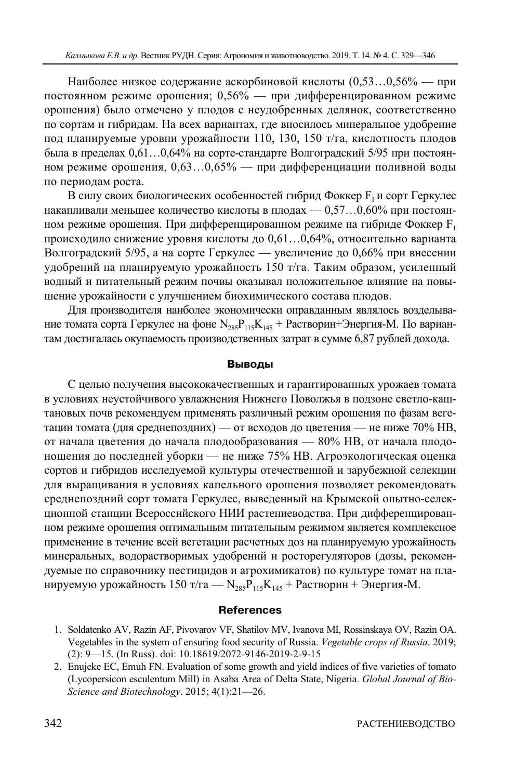Наиболее низкое содержание аскорбиновой кислоты (0,53…0,56% — при постоянном режиме орошения; 0,56% — при дифференцированном режиме орошения) было отмечено у плодов с неудобренных делянок, соответственно по сортам и гибридам. На всех вариантах, где вносилось минеральное удобрение под планируемые уровни урожайности 110, 130, 150 т/га, кислотность плодов была в пределах 0,61…0,64% на сорте-стандарте Волгоградский 5/95 при постоянном режиме орошения, 0,63…0,65% — при дифференциации поливной воды по периодам роста.

В силу своих биологических особенностей гибрид Фоккер  $F_1$ и сорт Геркулес накапливали меньшее количество кислоты в плодах  $-0.57...0.60\%$  при постоянном режиме орошения. При дифференцированном режиме на гибриде Фоккер  $F_1$ происходило снижение уровня кислоты до 0,61…0,64%, относительно варианта Волгоградский 5/95, а на сорте Геркулес — увеличение до 0,66% при внесении удобрений на планируемую урожайность 150 т/га. Таким образом, усиленный водный и питательный режим почвы оказывал положительное влияние на повышение урожайности с улучшением биохимического состава плодов.

Для производителя наиболее экономически оправданным являлось возделывание томата сорта Геркулес на фоне  $N_{285}P_{115}K_{145}$  + Растворин+Энергия-М. По вариантам достигалась окупаемость производственных затрат в сумме 6,87 рублей дохода.

## **Выводы**

С целью получения высококачественных и гарантированных урожаев томата в условиях неустойчивого увлажнения Нижнего Поволжья в подзоне светло-каштановых почв рекомендуем применять различный режим орошения по фазам вегетации томата (для среднепоздних) — от всходов до цветения — не ниже 70% НВ, от начала цветения до начала плодообразования — 80% НВ, от начала плодоношения до последней уборки — не ниже 75% НВ. Агроэкологическая оценка сортов и гибридов исследуемой культуры отечественной и зарубежной селекции для выращивания в условиях капельного орошения позволяет рекомендовать среднепоздний сорт томата Геркулес, выведенный на Крымской опытно-селекционной станции Всероссийского НИИ растениеводства. При дифференцированном режиме орошения оптимальным питательным режимом является комплексное применение в течение всей вегетации расчетных доз на планируемую урожайность минеральных, водорастворимых удобрений и росторегуляторов (дозы, рекомендуемые по справочнику пестицидов и агрохимикатов) по культуре томат на планируемую урожайность 150 т/га —  $N_{285}P_{115}K_{145}$  + Растворин + Энергия-М.

# **References**

- 1. Soldatenko AV, Razin AF, Pivovarov VF, Shatilov MV, Ivanova MI, Rossinskaya OV, Razin OA. Vegetables in the system of ensuring food security of Russia. *Vegetable crops of Russia*. 2019; (2): 9—15. (In Russ). doi: 10.18619/2072-9146-2019-2-9-15
- 2. Enujeke EC, Emuh FN. Evaluation of some growth and yield indices of five varieties of tomato (Lycopersicon esculentum Mill) in Asaba Area of Delta State, Nigeria. *Global Journal of Bio-Science and Biotechnology*. 2015; 4(1):21—26.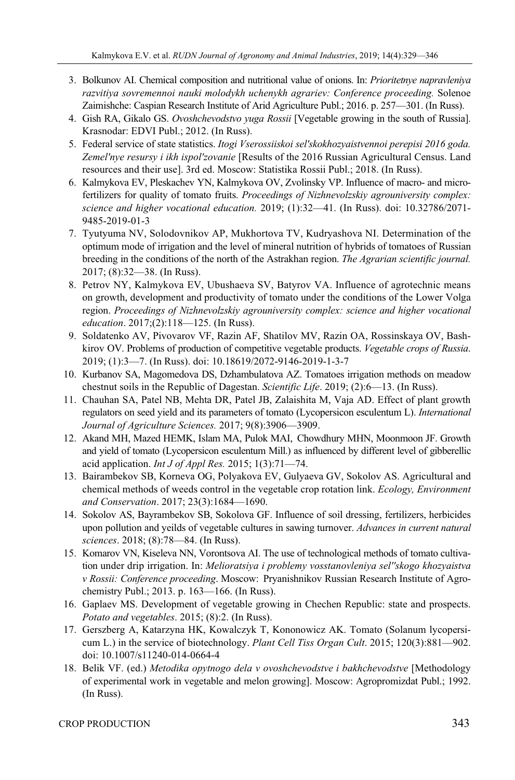- 3. Bolkunov AI. Chemical composition and nutritional value of onions. In: *Prioritetnye napravleniya razvitiya sovremennoi nauki molodykh uchenykh agrariev: Conference proceeding.* Solenoe Zaimishche: Caspian Research Institute of Arid Agriculture Publ.; 2016. p. 257—301. (In Russ).
- 4. Gish RA, Gikalo GS. *Ovoshchevodstvo yuga Rossii* [Vegetable growing in the south of Russia]. Krasnodar: EDVI Publ.; 2012. (In Russ).
- 5. Federal service of state statistics. *Itogi Vserossiiskoi sel'skokhozyaistvennoi perepisi 2016 goda. Zemel'nye resursy i ikh ispol'zovanie* [Results of the 2016 Russian Agricultural Census. Land resources and their use]. 3rd ed. Moscow: Statistika Rossii Publ.; 2018. (In Russ).
- 6. Kalmykova EV, Pleskachev YN, Kalmykova OV, Zvolinsky VP. Influence of macro- and microfertilizers for quality of tomato fruits. *Proceedings of Nizhnevolzskiy agrouniversity complex: science and higher vocational education.* 2019; (1):32—41. (In Russ). doi: 10.32786/2071- 9485-2019-01-3
- 7. Tyutyuma NV, Solodovnikov AP, Mukhortova TV, Kudryashova NI. Determination of the optimum mode of irrigation and the level of mineral nutrition of hybrids of tomatoes of Russian breeding in the conditions of the north of the Astrakhan region. *The Agrarian scientific journal.* 2017; (8):32—38. (In Russ).
- 8. Petrov NY, Kalmykova EV, Ubushaeva SV, Batyrov VA. Influence of agrotechnic means on growth, development and productivity of tomato under the conditions of the Lower Volga region. *Proceedings of Nizhnevolzskiy agrouniversity complex: science and higher vocational education*. 2017;(2):118—125. (In Russ).
- 9. Soldatenko AV, Pivovarov VF, Razin AF, Shatilov MV, Razin OA, Rossinskaya OV, Bashkirov OV. Problems of production of competitive vegetable products. *Vegetable crops of Russia*. 2019; (1):3—7. (In Russ). doi: 10.18619/2072-9146-2019-1-3-7
- 10. Kurbanov SA, Magomedova DS, Dzhambulatova AZ. Tomatoes irrigation methods on meadow chestnut soils in the Republic of Dagestan. *Scientific Life*. 2019; (2):6—13. (In Russ).
- 11. Chauhan SA, Patel NB, Mehta DR, Patel JB, Zalaishita M, Vaja AD. Effect of plant growth regulators on seed yield and its parameters of tomato (Lycopersicon esculentum L). *International Journal of Agriculture Sciences.* 2017; 9(8):3906—3909.
- 12. Akand MH, Mazed HEMK, Islam MA, Pulok MAI, Chowdhury MHN, Moonmoon JF. Growth and yield of tomato (Lycopersicon esculentum Mill.) as influenced by different level of gibberellic acid application. *Int J of Appl Res.* 2015; 1(3):71—74.
- 13. Bairambekov SB, Korneva OG, Polyakova EV, Gulyaeva GV, Sokolov AS. Agricultural and chemical methods of weeds control in the vegetable crop rotation link. *Ecology, Environment and Conservation*. 2017; 23(3):1684—1690.
- 14. Sokolov AS, Bayrambekov SB, Sokolova GF. Influence of soil dressing, fertilizers, herbicides upon pollution and yeilds of vegetable cultures in sawing turnover. *Advances in current natural sciences*. 2018; (8):78—84. (In Russ).
- 15. Komarov VN, Kiseleva NN, Vorontsova AI. The use of technological methods of tomato cultivation under drip irrigation. In: *Melioratsiya i problemy vosstanovleniya sel''skogo khozyaistva v Rossii: Conference proceeding*. Moscow: Pryanishnikov Russian Research Institute of Agrochemistry Publ.; 2013. p. 163—166. (In Russ).
- 16. Gaplaev MS. Development of vegetable growing in Chechen Republic: state and prospects. *Potato and vegetables*. 2015; (8):2. (In Russ).
- 17. Gerszberg A, Katarzyna HK, Kowalczyk T, Kononowicz AK. Tomato (Solanum lycopersicum L.) in the service of biotechnology. *Plant Cell Tiss Organ Cult*. 2015; 120(3):881—902. doi: 10.1007/s11240-014-0664-4
- 18. Belik VF. (ed.) *Metodika opytnogo dela v ovoshchevodstve i bakhchevodstve* [Methodology of experimental work in vegetable and melon growing]. Moscow: Agropromizdat Publ.; 1992. (In Russ).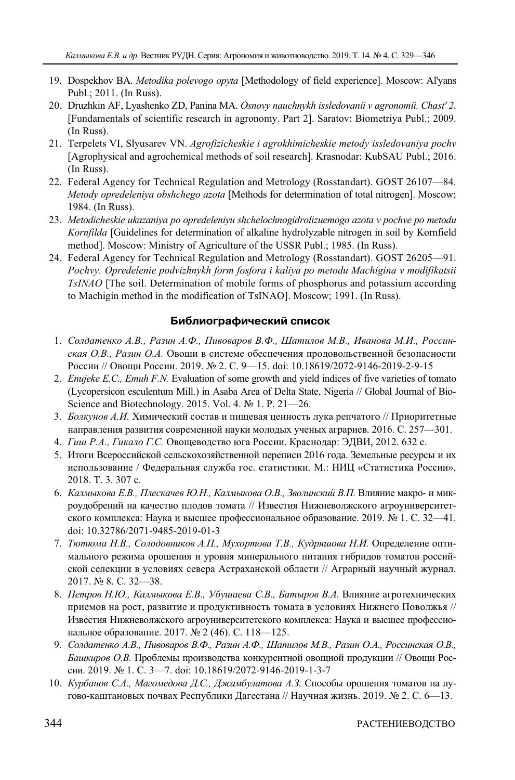- 19. Dospekhov BA. *Metodika polevogo opyta* [Methodology of field experience]. Moscow: Al'yans Publ.; 2011. (In Russ).
- 20. Druzhkin AF, Lyashenko ZD, Panina MA. *Osnovy nauchnykh issledovanii v agronomii. Chast' 2*. [Fundamentals of scientific research in agronomy. Part 2]. Saratov: Biometriya Publ.; 2009. (In Russ).
- 21. Terpelets VI, Slyusarev VN. *Agrofizicheskie i agrokhimicheskie metody issledovaniya pochv*  [Agrophysical and agrochemical methods of soil research]. Krasnodar: KubSAU Publ.; 2016. (In Russ).
- 22. Federal Agency for Technical Regulation and Metrology (Rosstandart). GOST 26107—84. *Metody opredeleniya obshchego azota* [Methods for determination of total nitrogen]. Moscow; 1984. (In Russ).
- 23. *Metodicheskie ukazaniya po opredeleniyu shchelochnogidrolizuemogo azota v pochve po metodu Kornfilda* [Guidelines for determination of alkaline hydrolyzable nitrogen in soil by Kornfield method]. Moscow: Ministry of Agriculture of the USSR Publ.; 1985. (In Russ).
- 24. Federal Agency for Technical Regulation and Metrology (Rosstandart). GOST 26205—91. *Pochvy. Opredelenie podvizhnykh form fosfora i kaliya po metodu Machigina v modifikatsii TsINAO* [The soil. Determination of mobile forms of phosphorus and potassium according to Machigin method in the modification of TsINAO]. Moscow; 1991. (In Russ).

## **Библиографический список**

- 1. *Солдатенко А.В., Разин А.Ф., Пивоваров В.Ф., Шатилов М.В., Иванова М.И., Россинская О.В., Разин О.А.* Овощи в системе обеспечения продовольственной безопасности России // Овощи России. 2019. № 2. С. 9—15. doi: 10.18619/2072-9146-2019-2-9-15
- 2. *Enujeke E.C., Emuh F.N.* Evaluation of some growth and yield indices of five varieties of tomato (Lycopersicon esculentum Mill.) in Asaba Area of Delta State, Nigeria // Global Journal of Bio-Science and Biotechnology. 2015. Vol. 4. № 1. P. 21—26.
- 3. *Болкунов А.И.* Химический состав и пищевая ценность лука репчатого // Приоритетные направления развития современной науки молодых ученых аграриев. 2016. С. 257—301.
- 4. *Гиш Р.А., Гикало Г.С.* Овощеводство юга России. Краснодар: ЭДВИ, 2012. 632 с.
- 5. Итоги Всероссийской сельскохозяйственной переписи 2016 года. Земельные ресурсы и их использование / Федеральная служба гос. статистики. М.: НИЦ «Статистика России», 2018. Т. 3. 307 с.
- 6. *Калмыкова Е.В., Плескачев Ю.Н., Калмыкова О.В., Зволинский В.П.* Влияние макро- и микроудобрений на качество плодов томата // Известия Нижневолжского агроуниверситетского комплекса: Наука и высшее профессиональное образование. 2019. № 1. С. 32—41. doi: 10.32786/2071-9485-2019-01-3
- 7. *Тютюма Н.В., Солодовников А.П., Мухортова Т.В., Кудряшова Н.И.* Определение оптимального режима орошения и уровня минерального питания гибридов томатов российской селекции в условиях севера Астраханской области // Аграрный научный журнал. 2017. № 8. С. 32—38.
- 8. *Петров Н.Ю., Калмыкова Е.В., Убушаева С.В., Батыров В.А.* Влияние агротехнических приемов на рост, развитие и продуктивность томата в условиях Нижнего Поволжья // Известия Нижневолжского агроуниверситетского комплекса: Наука и высшее профессиональное образование. 2017. № 2 (46). С. 118—125.
- 9. *Солдатенко А.В., Пивоваров В.Ф., Разин А.Ф., Шатилов М.В., Разин О.А., Россинская О.В., Башкиров О.В.* Проблемы производства конкурентной овощной продукции // Овощи России. 2019. № 1. С. 3—7. doi: 10.18619/2072-9146-2019-1-3-7
- 10. *Курбанов С.А., Магомедова Д.С., Джамбулатова А.З.* Способы орошения томатов на лугово-каштановых почвах Республики Дагестана // Научная жизнь. 2019. № 2. С. 6—13.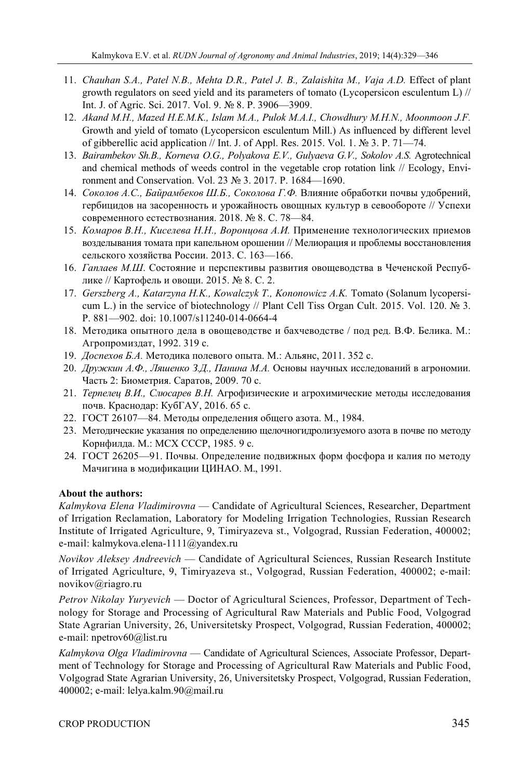- 11. *Chauhan S.A., Patel N.B., Mehta D.R., Patel J. B., Zalaishita M., Vaja A.D.* Effect of plant growth regulators on seed yield and its parameters of tomato (Lycopersicon esculentum L) // Int. J. of Agric. Sci. 2017. Vol. 9. № 8. P. 3906—3909.
- 12. *Akand M.H., Mazed H.E.M.K., Islam M.A., Pulok M.A.I., Chowdhury M.H.N., Moonmoon J.F.*  Growth and yield of tomato (Lycopersicon esculentum Mill.) As influenced by different level of gibberellic acid application // Int. J. of Appl. Res. 2015. Vol. 1. № 3. P. 71—74.
- 13. *Bairambekov Sh.B., Korneva O.G., Polyakova E.V., Gulyaeva G.V., Sokolov A.S.* Аgrotechnical and chemical methods of weeds control in the vegetable crop rotation link // Ecology, Environment and Conservation. Vol. 23 № 3. 2017. P. 1684—1690.
- 14. *Соколов А.С., Байрамбеков Ш.Б., Соколова Г.Ф.* Влияние обработки почвы удобрений, гербицидов на засоренность и урожайность овощных культур в севообороте // Успехи современного естествознания. 2018. № 8. С. 78—84.
- 15. *Комаров В.Н., Киселева Н.Н., Воронцова А.И.* Применение технологических приемов возделывания томата при капельном орошении // Мелиорация и проблемы восстановления сельского хозяйства России. 2013. С. 163—166.
- 16. *Гаплаев М.Ш*. Состояние и перспективы развития овощеводства в Чеченской Республике // Картофель и овощи. 2015. № 8. С. 2.
- 17. *Gerszberg A., Katarzyna H.K., Kowalczyk T., Kononowicz A.K.* Tomato (Solanum lycopersicum L.) in the service of biotechnology // Plant Cell Tiss Organ Cult. 2015. Vol. 120. № 3. P. 881—902. doi: 10.1007/s11240-014-0664-4
- 18. Методика опытного дела в овощеводстве и бахчеводстве / под ред. В.Ф. Белика. М.: Агропромиздат, 1992. 319 с.
- 19. *Доспехов Б.А.* Методика полевого опыта. М.: Альянс, 2011. 352 с.
- 20. *Дружкин А.Ф., Ляшенко З.Д., Панина М.А.* Основы научных исследований в агрономии. Часть 2: Биометрия. Саратов, 2009. 70 с.
- 21. *Терпелец В.И., Слюсарев В.Н.* Агрофизические и агрохимические методы исследования почв. Краснодар: КубГАУ, 2016. 65 с.
- 22. ГОСТ 26107—84. Методы определения общего азота. М., 1984.
- 23. Методические указания по определению щелочногидролизуемого азота в почве по методу Корнфилда. М.: МСХ СССР, 1985. 9 с.
- 24. ГОСТ 26205—91. Почвы. Определение подвижных форм фосфора и калия по методу Мачигина в модификации ЦИНАО. М., 1991.

# **About the authors:**

*Kalmykova Elena Vladimirovna* — Candidate of Agricultural Sciences, Researcher, Department of Irrigation Reclamation, Laboratory for Modeling Irrigation Technologies, Russian Research Institute of Irrigated Agriculture, 9, Timiryazeva st., Volgograd, Russian Federation, 400002; e-mail: kalmykova.elena-1111@yandex.ru

*Novikov Aleksey Andreevich* — Candidate of Agricultural Sciences, Russian Research Institute of Irrigated Agriculture, 9, Timiryazeva st., Volgograd, Russian Federation, 400002; e-mail: novikov@riagro.ru

*Petrov Nikolay Yuryevich* — Doctor of Agricultural Sciences, Professor, Department of Technology for Storage and Processing of Agricultural Raw Materials and Public Food, Volgograd State Agrarian University, 26, Universitetsky Prospect, Volgograd, Russian Federation, 400002; e-mail: npetrov60@list.ru

*Kalmykova Olga Vladimirovna* — Candidate of Agricultural Sciences, Associate Professor, Department of Technology for Storage and Processing of Agricultural Raw Materials and Public Food, Volgograd State Agrarian University, 26, Universitetsky Prospect, Volgograd, Russian Federation, 400002; e-mail: lelya.kalm.90@mail.ru